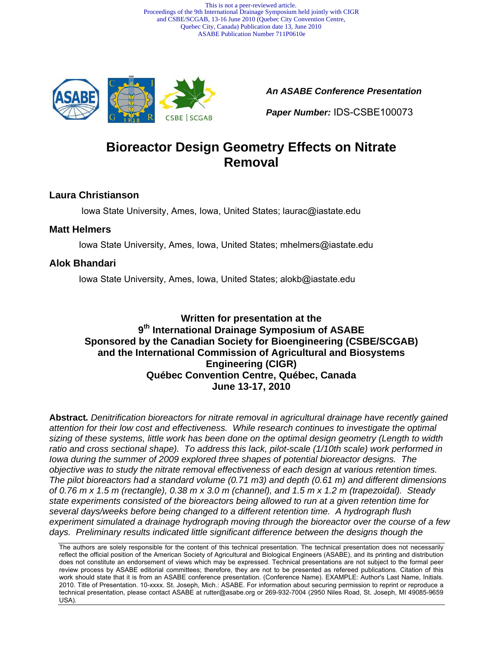This is not a peer-reviewed article. Proceedings of the 9th International Drainage Symposium held jointly with CIGR and CSBE/SCGAB, 13-16 June 2010 (Quebec City Convention Centre, Quebec City, Canada) Publication date 13, June 2010 ASABE Publication Number 711P0610e



*An ASABE Conference Presentation*

*Paper Number:* IDS-CSBE100073

# **Bioreactor Design Geometry Effects on Nitrate Removal**

#### **Laura Christianson**

Iowa State University, Ames, Iowa, United States; laurac@iastate.edu

#### **Matt Helmers**

Iowa State University, Ames, Iowa, United States; mhelmers@iastate.edu

### **Alok Bhandari**

Iowa State University, Ames, Iowa, United States; alokb@iastate.edu

### **Written for presentation at the 9th International Drainage Symposium of ASABE Sponsored by the Canadian Society for Bioengineering (CSBE/SCGAB) and the International Commission of Agricultural and Biosystems Engineering (CIGR) Québec Convention Centre, Québec, Canada June 13-17, 2010**

**Abstract***. Denitrification bioreactors for nitrate removal in agricultural drainage have recently gained attention for their low cost and effectiveness. While research continues to investigate the optimal sizing of these systems, little work has been done on the optimal design geometry (Length to width ratio and cross sectional shape). To address this lack, pilot-scale (1/10th scale) work performed in Iowa during the summer of 2009 explored three shapes of potential bioreactor designs. The objective was to study the nitrate removal effectiveness of each design at various retention times. The pilot bioreactors had a standard volume (0.71 m3) and depth (0.61 m) and different dimensions of 0.76 m x 1.5 m (rectangle), 0.38 m x 3.0 m (channel), and 1.5 m x 1.2 m (trapezoidal). Steady state experiments consisted of the bioreactors being allowed to run at a given retention time for several days/weeks before being changed to a different retention time. A hydrograph flush experiment simulated a drainage hydrograph moving through the bioreactor over the course of a few*  days. Preliminary results indicated little significant difference between the designs though the

The authors are solely responsible for the content of this technical presentation. The technical presentation does not necessarily reflect the official position of the American Society of Agricultural and Biological Engineers (ASABE), and its printing and distribution does not constitute an endorsement of views which may be expressed. Technical presentations are not subject to the formal peer review process by ASABE editorial committees; therefore, they are not to be presented as refereed publications. Citation of this work should state that it is from an ASABE conference presentation. (Conference Name). EXAMPLE: Author's Last Name, Initials. 2010. Title of Presentation. 10-xxxx. St. Joseph, Mich.: ASABE. For information about securing permission to reprint or reproduce a technical presentation, please contact ASABE at rutter@asabe.org or 269-932-7004 (2950 Niles Road, St. Joseph, MI 49085-9659 USA).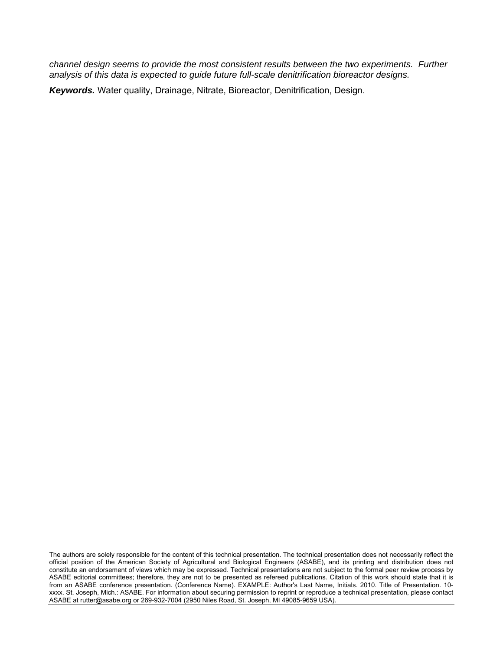*channel design seems to provide the most consistent results between the two experiments. Further analysis of this data is expected to guide future full-scale denitrification bioreactor designs.* 

*Keywords.* Water quality, Drainage, Nitrate, Bioreactor, Denitrification, Design.

The authors are solely responsible for the content of this technical presentation. The technical presentation does not necessarily reflect the official position of the American Society of Agricultural and Biological Engineers (ASABE), and its printing and distribution does not constitute an endorsement of views which may be expressed. Technical presentations are not subject to the formal peer review process by ASABE editorial committees; therefore, they are not to be presented as refereed publications. Citation of this work should state that it is from an ASABE conference presentation. (Conference Name). EXAMPLE: Author's Last Name, Initials. 2010. Title of Presentation. 10 xxxx. St. Joseph, Mich.: ASABE. For information about securing permission to reprint or reproduce a technical presentation, please contact ASABE at rutter@asabe.org or 269-932-7004 (2950 Niles Road, St. Joseph, MI 49085-9659 USA).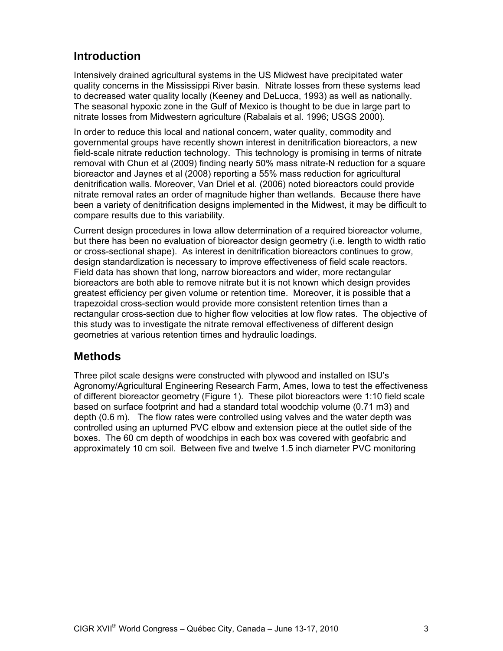# **Introduction**

Intensively drained agricultural systems in the US Midwest have precipitated water quality concerns in the Mississippi River basin. Nitrate losses from these systems lead to decreased water quality locally (Keeney and DeLucca, 1993) as well as nationally. The seasonal hypoxic zone in the Gulf of Mexico is thought to be due in large part to nitrate losses from Midwestern agriculture (Rabalais et al. 1996; USGS 2000).

In order to reduce this local and national concern, water quality, commodity and governmental groups have recently shown interest in denitrification bioreactors, a new field-scale nitrate reduction technology. This technology is promising in terms of nitrate removal with Chun et al (2009) finding nearly 50% mass nitrate-N reduction for a square bioreactor and Jaynes et al (2008) reporting a 55% mass reduction for agricultural denitrification walls. Moreover, Van Driel et al. (2006) noted bioreactors could provide nitrate removal rates an order of magnitude higher than wetlands. Because there have been a variety of denitrification designs implemented in the Midwest, it may be difficult to compare results due to this variability.

Current design procedures in Iowa allow determination of a required bioreactor volume, but there has been no evaluation of bioreactor design geometry (i.e. length to width ratio or cross-sectional shape). As interest in denitrification bioreactors continues to grow, design standardization is necessary to improve effectiveness of field scale reactors. Field data has shown that long, narrow bioreactors and wider, more rectangular bioreactors are both able to remove nitrate but it is not known which design provides greatest efficiency per given volume or retention time. Moreover, it is possible that a trapezoidal cross-section would provide more consistent retention times than a rectangular cross-section due to higher flow velocities at low flow rates. The objective of this study was to investigate the nitrate removal effectiveness of different design geometries at various retention times and hydraulic loadings.

### **Methods**

Three pilot scale designs were constructed with plywood and installed on ISU's Agronomy/Agricultural Engineering Research Farm, Ames, Iowa to test the effectiveness of different bioreactor geometry (Figure 1). These pilot bioreactors were 1:10 field scale based on surface footprint and had a standard total woodchip volume (0.71 m3) and depth (0.6 m). The flow rates were controlled using valves and the water depth was controlled using an upturned PVC elbow and extension piece at the outlet side of the boxes. The 60 cm depth of woodchips in each box was covered with geofabric and approximately 10 cm soil. Between five and twelve 1.5 inch diameter PVC monitoring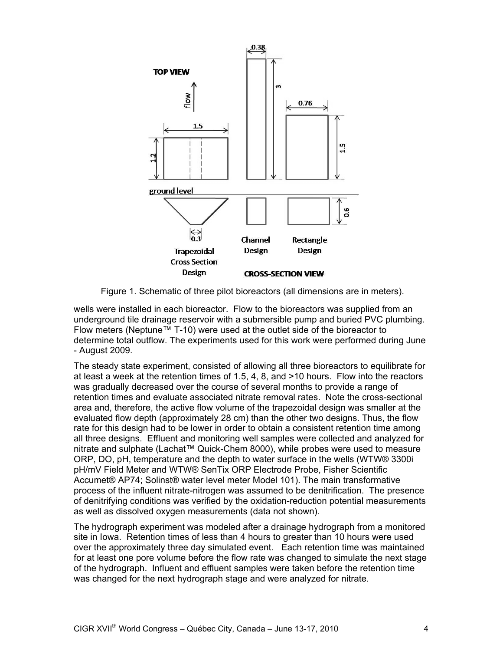

Figure 1. Schematic of three pilot bioreactors (all dimensions are in meters).

wells were installed in each bioreactor. Flow to the bioreactors was supplied from an underground tile drainage reservoir with a submersible pump and buried PVC plumbing. Flow meters (Neptune™ T-10) were used at the outlet side of the bioreactor to determine total outflow. The experiments used for this work were performed during June - August 2009.

The steady state experiment, consisted of allowing all three bioreactors to equilibrate for at least a week at the retention times of 1.5, 4, 8, and >10 hours. Flow into the reactors was gradually decreased over the course of several months to provide a range of retention times and evaluate associated nitrate removal rates. Note the cross-sectional area and, therefore, the active flow volume of the trapezoidal design was smaller at the evaluated flow depth (approximately 28 cm) than the other two designs. Thus, the flow rate for this design had to be lower in order to obtain a consistent retention time among all three designs. Effluent and monitoring well samples were collected and analyzed for nitrate and sulphate (Lachat™ Quick-Chem 8000), while probes were used to measure ORP, DO, pH, temperature and the depth to water surface in the wells (WTW® 3300i pH/mV Field Meter and WTW® SenTix ORP Electrode Probe, Fisher Scientific Accumet® AP74; Solinst® water level meter Model 101). The main transformative process of the influent nitrate-nitrogen was assumed to be denitrification. The presence of denitrifying conditions was verified by the oxidation-reduction potential measurements as well as dissolved oxygen measurements (data not shown).

The hydrograph experiment was modeled after a drainage hydrograph from a monitored site in Iowa. Retention times of less than 4 hours to greater than 10 hours were used over the approximately three day simulated event. Each retention time was maintained for at least one pore volume before the flow rate was changed to simulate the next stage of the hydrograph. Influent and effluent samples were taken before the retention time was changed for the next hydrograph stage and were analyzed for nitrate.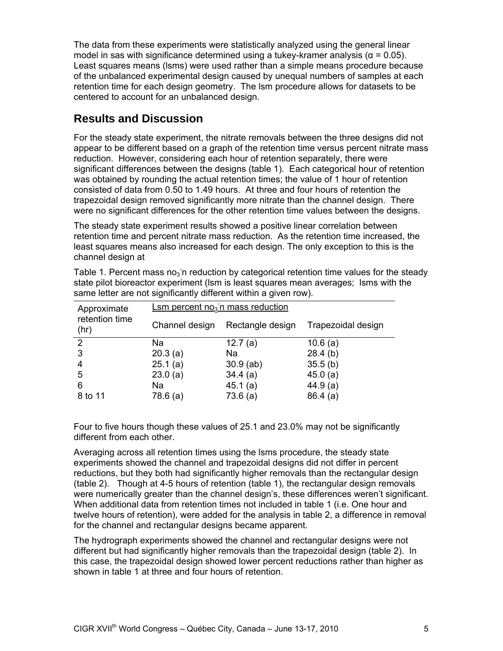The data from these experiments were statistically analyzed using the general linear model in sas with significance determined using a tukey-kramer analysis ( $\alpha$  = 0.05). Least squares means (lsms) were used rather than a simple means procedure because of the unbalanced experimental design caused by unequal numbers of samples at each retention time for each design geometry. The lsm procedure allows for datasets to be centered to account for an unbalanced design.

# **Results and Discussion**

For the steady state experiment, the nitrate removals between the three designs did not appear to be different based on a graph of the retention time versus percent nitrate mass reduction. However, considering each hour of retention separately, there were significant differences between the designs (table 1). Each categorical hour of retention was obtained by rounding the actual retention times; the value of 1 hour of retention consisted of data from 0.50 to 1.49 hours. At three and four hours of retention the trapezoidal design removed significantly more nitrate than the channel design. There were no significant differences for the other retention time values between the designs.

The steady state experiment results showed a positive linear correlation between retention time and percent nitrate mass reduction. As the retention time increased, the least squares means also increased for each design. The only exception to this is the channel design at

| $Lsm$ percent no <sub>3</sub> <sup>n</sup> mass reduction |                  |                    |  |
|-----------------------------------------------------------|------------------|--------------------|--|
| Channel design                                            | Rectangle design | Trapezoidal design |  |
| Na                                                        | 12.7 $(a)$       | 10.6(a)            |  |
| 20.3(a)                                                   | Na               | 28.4(b)            |  |
| 25.1(a)                                                   | $30.9$ (ab)      | 35.5(b)            |  |
| 23.0(a)                                                   | 34.4(a)          | 45.0(a)            |  |
| Na                                                        | 45.1(a)          | 44.9(a)            |  |
| 78.6 (a)                                                  | 73.6(a)          | 86.4(a)            |  |
|                                                           |                  |                    |  |

Table 1. Percent mass no $_3$ <sup>n</sup> reduction by categorical retention time values for the steady state pilot bioreactor experiment (lsm is least squares mean averages; lsms with the same letter are not significantly different within a given row).

Four to five hours though these values of 25.1 and 23.0% may not be significantly different from each other.

Averaging across all retention times using the lsms procedure, the steady state experiments showed the channel and trapezoidal designs did not differ in percent reductions, but they both had significantly higher removals than the rectangular design (table 2). Though at 4-5 hours of retention (table 1), the rectangular design removals were numerically greater than the channel design's, these differences weren't significant. When additional data from retention times not included in table 1 (i.e. One hour and twelve hours of retention), were added for the analysis in table 2, a difference in removal for the channel and rectangular designs became apparent.

The hydrograph experiments showed the channel and rectangular designs were not different but had significantly higher removals than the trapezoidal design (table 2). In this case, the trapezoidal design showed lower percent reductions rather than higher as shown in table 1 at three and four hours of retention.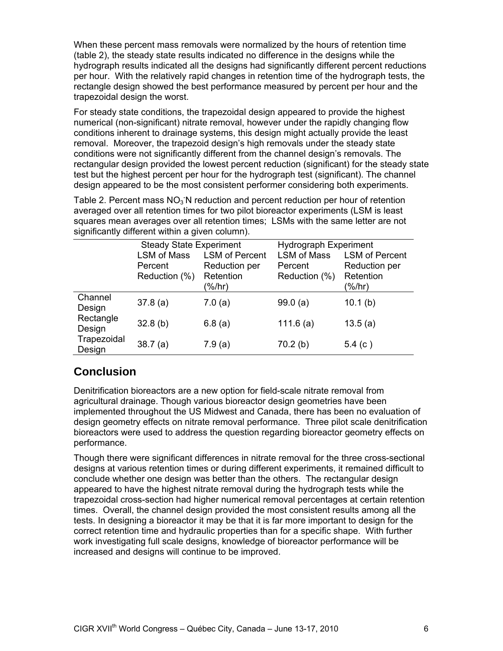When these percent mass removals were normalized by the hours of retention time (table 2), the steady state results indicated no difference in the designs while the hydrograph results indicated all the designs had significantly different percent reductions per hour. With the relatively rapid changes in retention time of the hydrograph tests, the rectangle design showed the best performance measured by percent per hour and the trapezoidal design the worst.

For steady state conditions, the trapezoidal design appeared to provide the highest numerical (non-significant) nitrate removal, however under the rapidly changing flow conditions inherent to drainage systems, this design might actually provide the least removal. Moreover, the trapezoid design's high removals under the steady state conditions were not significantly different from the channel design's removals. The rectangular design provided the lowest percent reduction (significant) for the steady state test but the highest percent per hour for the hydrograph test (significant). The channel design appeared to be the most consistent performer considering both experiments.

Table 2. Percent mass  $NO<sub>3</sub>$ <sup>-</sup>N reduction and percent reduction per hour of retention averaged over all retention times for two pilot bioreactor experiments (LSM is least squares mean averages over all retention times; LSMs with the same letter are not significantly different within a given column).

|                       | <b>Steady State Experiment</b> |                       | <b>Hydrograph Experiment</b> |                       |
|-----------------------|--------------------------------|-----------------------|------------------------------|-----------------------|
|                       | LSM of Mass                    | <b>LSM of Percent</b> | <b>LSM of Mass</b>           | <b>LSM of Percent</b> |
|                       | Percent                        | Reduction per         | Percent                      | Reduction per         |
|                       | Reduction (%)                  | Retention             | Reduction (%)                | Retention             |
|                       |                                | (%/hr)                |                              | (%/hr)                |
| Channel<br>Design     | 37.8(a)                        | 7.0(a)                | 99.0(a)                      | 10.1(b)               |
| Rectangle<br>Design   | 32.8(b)                        | 6.8(a)                | 111.6(a)                     | 13.5(a)               |
| Trapezoidal<br>Design | 38.7(a)                        | 7.9(a)                | 70.2(b)                      | 5.4 $(c)$             |

## **Conclusion**

Denitrification bioreactors are a new option for field-scale nitrate removal from agricultural drainage. Though various bioreactor design geometries have been implemented throughout the US Midwest and Canada, there has been no evaluation of design geometry effects on nitrate removal performance. Three pilot scale denitrification bioreactors were used to address the question regarding bioreactor geometry effects on performance.

Though there were significant differences in nitrate removal for the three cross-sectional designs at various retention times or during different experiments, it remained difficult to conclude whether one design was better than the others. The rectangular design appeared to have the highest nitrate removal during the hydrograph tests while the trapezoidal cross-section had higher numerical removal percentages at certain retention times. Overall, the channel design provided the most consistent results among all the tests. In designing a bioreactor it may be that it is far more important to design for the correct retention time and hydraulic properties than for a specific shape. With further work investigating full scale designs, knowledge of bioreactor performance will be increased and designs will continue to be improved.